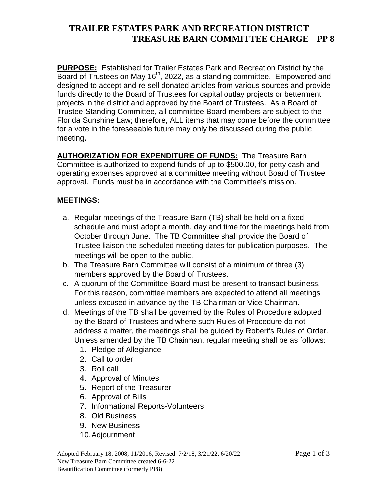## **TRAILER ESTATES PARK AND RECREATION DISTRICT TREASURE BARN COMMITTEE CHARGE PP 8**

**PURPOSE:** Established for Trailer Estates Park and Recreation District by the Board of Trustees on May 16<sup>th</sup>, 2022, as a standing committee. Empowered and designed to accept and re-sell donated articles from various sources and provide funds directly to the Board of Trustees for capital outlay projects or betterment projects in the district and approved by the Board of Trustees. As a Board of Trustee Standing Committee, all committee Board members are subject to the Florida Sunshine Law; therefore, ALL items that may come before the committee for a vote in the foreseeable future may only be discussed during the public meeting.

**AUTHORIZATION FOR EXPENDITURE OF FUNDS:** The Treasure Barn Committee is authorized to expend funds of up to \$500.00, for petty cash and operating expenses approved at a committee meeting without Board of Trustee approval. Funds must be in accordance with the Committee's mission.

#### **MEETINGS:**

- a. Regular meetings of the Treasure Barn (TB) shall be held on a fixed schedule and must adopt a month, day and time for the meetings held from October through June. The TB Committee shall provide the Board of Trustee liaison the scheduled meeting dates for publication purposes. The meetings will be open to the public.
- b. The Treasure Barn Committee will consist of a minimum of three (3) members approved by the Board of Trustees.
- c. A quorum of the Committee Board must be present to transact business. For this reason, committee members are expected to attend all meetings unless excused in advance by the TB Chairman or Vice Chairman.
- d. Meetings of the TB shall be governed by the Rules of Procedure adopted by the Board of Trustees and where such Rules of Procedure do not address a matter, the meetings shall be guided by Robert's Rules of Order. Unless amended by the TB Chairman, regular meeting shall be as follows:
	- 1. Pledge of Allegiance
	- 2. Call to order
	- 3. Roll call
	- 4. Approval of Minutes
	- 5. Report of the Treasurer
	- 6. Approval of Bills
	- 7. Informational Reports-Volunteers
	- 8. Old Business
	- 9. New Business
	- 10.Adjournment

Adopted February 18, 2008; 11/2016, Revised 7/2/18, 3/21/22, 6/20/22 Page 1 of 3 New Treasure Barn Committee created 6-6-22 Beautification Committee (formerly PP8)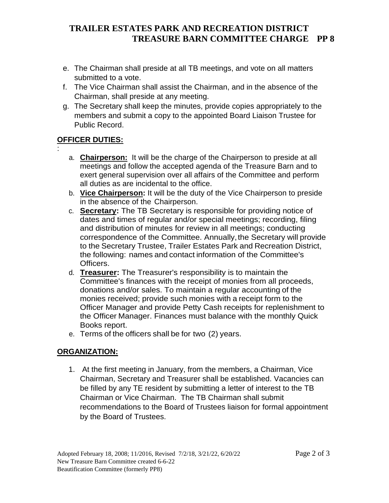# **TRAILER ESTATES PARK AND RECREATION DISTRICT TREASURE BARN COMMITTEE CHARGE PP 8**

- e. The Chairman shall preside at all TB meetings, and vote on all matters submitted to a vote.
- f. The Vice Chairman shall assist the Chairman, and in the absence of the Chairman, shall preside at any meeting.
- g. The Secretary shall keep the minutes, provide copies appropriately to the members and submit a copy to the appointed Board Liaison Trustee for Public Record.

### **OFFICER DUTIES:**

:

- a. **Chairperson:** It will be the charge of the Chairperson to preside at all meetings and follow the accepted agenda of the Treasure Barn and to exert general supervision over all affairs of the Committee and perform all duties as are incidental to the office.
- b. **Vice Chairperson:** It will be the duty of the Vice Chairperson to preside in the absence of the Chairperson.
- c. **Secretary:** The TB Secretary is responsible for providing notice of dates and times of regular and/or special meetings; recording, filing and distribution of minutes for review in all meetings; conducting correspondence of the Committee. Annually, the Secretary will provide to the Secretary Trustee, Trailer Estates Park and Recreation District, the following: names and contact information of the Committee's Officers.
- d. **Treasurer:** The Treasurer's responsibility is to maintain the Committee's finances with the receipt of monies from all proceeds, donations and/or sales. To maintain a regular accounting of the monies received; provide such monies with a receipt form to the Officer Manager and provide Petty Cash receipts for replenishment to the Officer Manager. Finances must balance with the monthly Quick Books report.
- e. Terms of the officers shall be for two (2) years.

### **ORGANIZATION:**

1. At the first meeting in January, from the members, a Chairman, Vice Chairman, Secretary and Treasurer shall be established. Vacancies can be filled by any TE resident by submitting a letter of interest to the TB Chairman or Vice Chairman. The TB Chairman shall submit recommendations to the Board of Trustees liaison for formal appointment by the Board of Trustees.